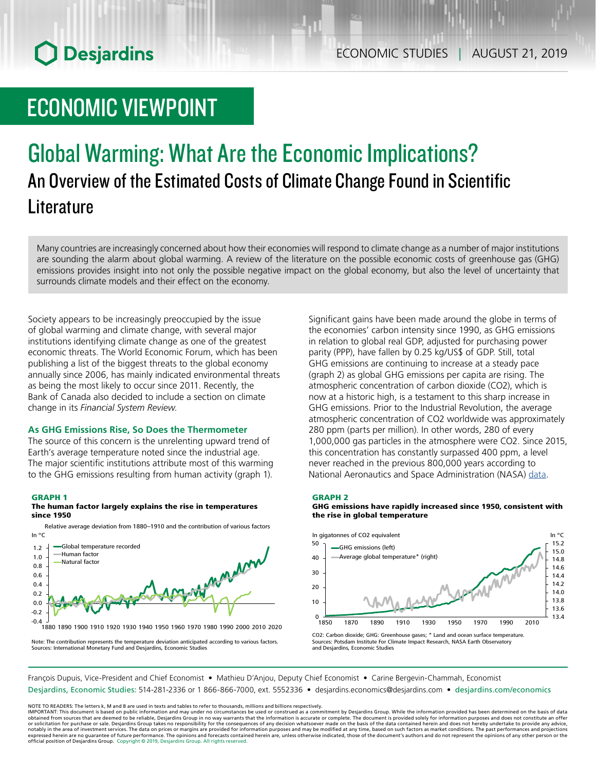# **O** Desjardins

# ECONOMIC VIEWPOINT

## Global Warming: What Are the Economic Implications? An Overview of the Estimated Costs of Climate Change Found in Scientific **Literature**

Many countries are increasingly concerned about how their economies will respond to climate change as a number of major institutions are sounding the alarm about global warming. A review of the literature on the possible economic costs of greenhouse gas (GHG) emissions provides insight into not only the possible negative impact on the global economy, but also the level of uncertainty that surrounds climate models and their effect on the economy.

Society appears to be increasingly preoccupied by the issue of global warming and climate change, with several major institutions identifying climate change as one of the greatest economic threats. The World Economic Forum, which has been publishing a list of the biggest threats to the global economy annually since 2006, has mainly indicated environmental threats as being the most likely to occur since 2011. Recently, the Bank of Canada also decided to include a section on climate change in its *Financial System Review*.

## **As GHG Emissions Rise, So Does the Thermometer**

The source of this concern is the unrelenting upward trend of Earth's average temperature noted since the industrial age. The major scientific institutions attribute most of this warming to the GHG emissions resulting from human activity (graph 1).

#### GRAPH 1

### The human factor largely explains the rise in temperatures since 1950



Relative average deviation from 1880–1910 and the contribution of various factors In °C

Significant gains have been made around the globe in terms of the economies' carbon intensity since 1990, as GHG emissions in relation to global real GDP, adjusted for purchasing power parity (PPP), have fallen by 0.25 kg/US\$ of GDP. Still, total GHG emissions are continuing to increase at a steady pace (graph 2) as global GHG emissions per capita are rising. The atmospheric concentration of carbon dioxide (CO2), which is now at a historic high, is a testament to this sharp increase in GHG emissions. Prior to the Industrial Revolution, the average atmospheric concentration of CO2 worldwide was approximately 280 ppm (parts per million). In other words, 280 of every 1,000,000 gas particles in the atmosphere were CO2. Since 2015, this concentration has constantly surpassed 400 ppm, a level never reached in the previous 800,000 years according to National Aeronautics and Space Administration (NASA) [data](https://climate.nasa.gov/climate_resources/24/graphic-the-relentless-rise-of-carbon-dioxide/).

#### GRAPH 2

### GHG emissions have rapidly increased since 1950, consistent with the rise in global temperature



CO2: Carbon dioxide; GHG: Greenhouse gases; \* Land and ocean surface temperature. Sources: Potsdam Institute For Climate Impact Research, NASA Earth Observatory and Desjardins, Economic Studies

Note: The contribution represents the temperature deviation anticipated according to various factors. Sources: International Monetary Fund and Desjardins, Economic Studies

François Dupuis, Vice-President and Chief Economist • Mathieu D'Anjou, Deputy Chief Economist • Carine Bergevin-Chammah, Economist Desjardins, Economic Studies: 514-281-2336 or 1 866-866-7000, ext. 5552336 • desjardins.economics@desjardins.com • [desjardins.com/economics](http://desjardins.com/economics)

NOTE TO READERS: The letters k, M and B are used in texts and tables to refer to thousands, millions and billions respectively.<br>IMPORTANT: This document is based on public information and may under no circumstances be used obtained from sources that are deemed to be reliable, Desjardins Group in no way warrants that the information is accurate or complete. The document is provided solely for information purposes and does not constitute an of expressed herein are no guarantee of future performance. The opinions and forecasts contained herein are, unless otherwise indicated, those of the document's authors and do not represent the opinions of any other person or official position of Desjardins Group. Copyright © 2019, Desjardins Group. All rights reserved.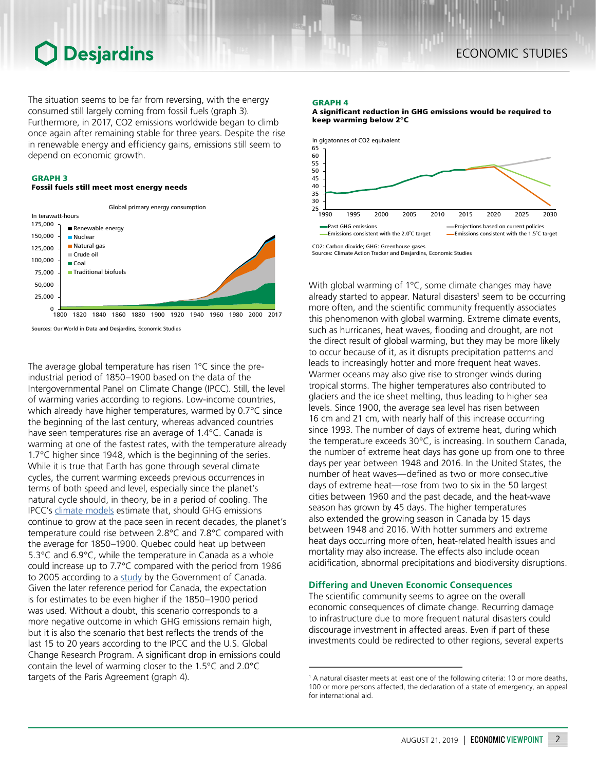## **O** Desjardins

The situation seems to be far from reversing, with the energy consumed still largely coming from fossil fuels (graph 3). Furthermore, in 2017, CO2 emissions worldwide began to climb once again after remaining stable for three years. Despite the rise in renewable energy and efficiency gains, emissions still seem to depend on economic growth.

## GRAPH 3

### Fossil fuels still meet most energy needs



Sources: Our World in Data and Desjardins, Economic Studies

The average global temperature has risen 1°C since the preindustrial period of 1850–1900 based on the data of the Intergovernmental Panel on Climate Change (IPCC). Still, the level of warming varies according to regions. Low-income countries, which already have higher temperatures, warmed by 0.7°C since the beginning of the last century, whereas advanced countries have seen temperatures rise an average of 1.4°C. Canada is warming at one of the fastest rates, with the temperature already 1.7°C higher since 1948, which is the beginning of the series. While it is true that Earth has gone through several climate cycles, the current warming exceeds previous occurrences in terms of both speed and level, especially since the planet's natural cycle should, in theory, be in a period of cooling. The IPCC's [climate models](https://www.ipcc.ch/site/assets/uploads/2018/02/ipcc_wg3_ar5_summary-for-policymakers.pdf) estimate that, should GHG emissions continue to grow at the pace seen in recent decades, the planet's temperature could rise between 2.8°C and 7.8°C compared with the average for 1850–1900. Quebec could heat up between 5.3°C and 6.9°C, while the temperature in Canada as a whole could increase up to 7.7°C compared with the period from 1986 to 2005 according to a [study](https://www.nrcan.gc.ca/sites/www.nrcan.gc.ca/files/energy/Climate-change/pdf/CCCR-Chapter4-TemperatureAndPrecipitationAcrossCanada.pdf) by the Government of Canada. Given the later reference period for Canada, the expectation is for estimates to be even higher if the 1850–1900 period was used. Without a doubt, this scenario corresponds to a more negative outcome in which GHG emissions remain high, but it is also the scenario that best reflects the trends of the last 15 to 20 years according to the IPCC and the U.S. Global Change Research Program. A significant drop in emissions could contain the level of warming closer to the 1.5°C and 2.0°C targets of the Paris Agreement (graph 4).

#### GRAPH 4

A significant reduction in GHG emissions would be required to keep warming below 2°C



Sources: Climate Action Tracker and Desjardins, Economic Studies

With global warming of 1°C, some climate changes may have already started to appear. Natural disasters<sup>1</sup> seem to be occurring more often, and the scientific community frequently associates this phenomenon with global warming. Extreme climate events, such as hurricanes, heat waves, flooding and drought, are not the direct result of global warming, but they may be more likely to occur because of it, as it disrupts precipitation patterns and leads to increasingly hotter and more frequent heat waves. Warmer oceans may also give rise to stronger winds during tropical storms. The higher temperatures also contributed to glaciers and the ice sheet melting, thus leading to higher sea levels. Since 1900, the average sea level has risen between 16 cm and 21 cm, with nearly half of this increase occurring since 1993. The number of days of extreme heat, during which the temperature exceeds 30°C, is increasing. In southern Canada, the number of extreme heat days has gone up from one to three days per year between 1948 and 2016. In the United States, the number of heat waves—defined as two or more consecutive days of extreme heat—rose from two to six in the 50 largest cities between 1960 and the past decade, and the heat-wave season has grown by 45 days. The higher temperatures also extended the growing season in Canada by 15 days between 1948 and 2016. With hotter summers and extreme heat days occurring more often, heat-related health issues and mortality may also increase. The effects also include ocean acidification, abnormal precipitations and biodiversity disruptions.

## **Differing and Uneven Economic Consequences**

The scientific community seems to agree on the overall economic consequences of climate change. Recurring damage to infrastructure due to more frequent natural disasters could discourage investment in affected areas. Even if part of these investments could be redirected to other regions, several experts

<sup>&</sup>lt;sup>1</sup> A natural disaster meets at least one of the following criteria: 10 or more deaths, 100 or more persons affected, the declaration of a state of emergency, an appeal for international aid.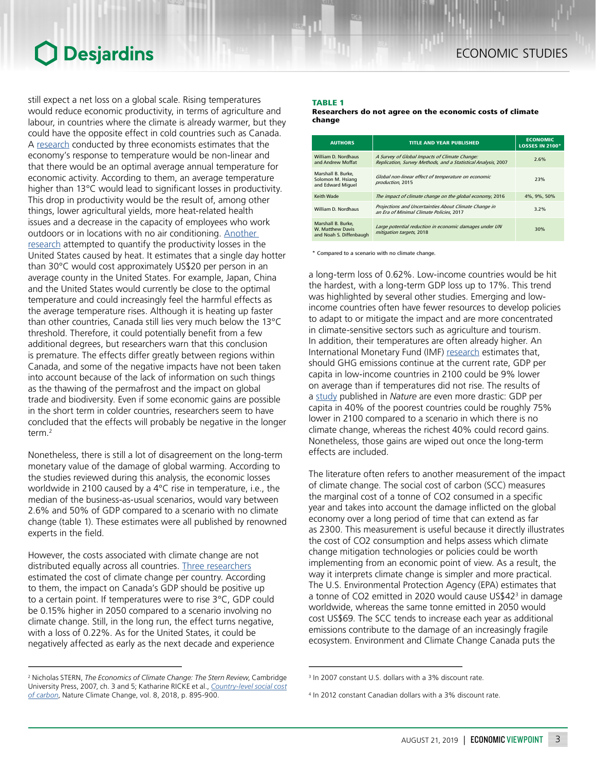## **Desjardins**

still expect a net loss on a global scale. Rising temperatures would reduce economic productivity, in terms of agriculture and labour, in countries where the climate is already warmer, but they could have the opposite effect in cold countries such as Canada. A [research](https://www.nature.com/articles/nature15725) conducted by three economists estimates that the economy's response to temperature would be non-linear and that there would be an optimal average annual temperature for economic activity. According to them, an average temperature higher than 13°C would lead to significant losses in productivity. This drop in productivity would be the result of, among other things, lower agricultural yields, more heat-related health issues and a decrease in the capacity of employees who work outdoors or in locations with no air conditioning. [Another](https://www.nber.org/papers/w20750.pdf)  [research](https://www.nber.org/papers/w20750.pdf) attempted to quantify the productivity losses in the United States caused by heat. It estimates that a single day hotter than 30°C would cost approximately US\$20 per person in an average county in the United States. For example, Japan, China and the United States would currently be close to the optimal temperature and could increasingly feel the harmful effects as the average temperature rises. Although it is heating up faster than other countries, Canada still lies very much below the 13°C threshold. Therefore, it could potentially benefit from a few additional degrees, but researchers warn that this conclusion is premature. The effects differ greatly between regions within Canada, and some of the negative impacts have not been taken into account because of the lack of information on such things as the thawing of the permafrost and the impact on global trade and biodiversity. Even if some economic gains are possible in the short term in colder countries, researchers seem to have concluded that the effects will probably be negative in the longer term.2

Nonetheless, there is still a lot of disagreement on the long-term monetary value of the damage of global warming. According to the studies reviewed during this analysis, the economic losses worldwide in 2100 caused by a 4°C rise in temperature, i.e., the median of the business-as-usual scenarios, would vary between 2.6% and 50% of GDP compared to a scenario with no climate change (table 1). These estimates were all published by renowned experts in the field.

However, the costs associated with climate change are not distributed equally across all countries. [Three researchers](https://agupubs.onlinelibrary.wiley.com/doi/10.1029/2018EF000922) estimated the cost of climate change per country. According to them, the impact on Canada's GDP should be positive up to a certain point. If temperatures were to rise 3°C, GDP could be 0.15% higher in 2050 compared to a scenario involving no climate change. Still, in the long run, the effect turns negative, with a loss of 0.22%. As for the United States, it could be negatively affected as early as the next decade and experience

## TABLE 1

Researchers do not agree on the economic costs of climate change

| <b>AUTHORS</b>                                                           | <b>TITLE AND YEAR PUBLISHED</b>                                                                                | <b>ECONOMIC</b><br><b>LOSSES IN 2100*</b> |
|--------------------------------------------------------------------------|----------------------------------------------------------------------------------------------------------------|-------------------------------------------|
| William D. Nordhaus<br>and Andrew Moffat                                 | A Survey of Global Impacts of Climate Change:<br>Replication, Survey Methods, and a Statistical Analysis, 2007 | 2.6%                                      |
| Marshall B. Burke.<br>Solomon M. Hsiang<br>and Edward Miguel             | Global non-linear effect of temperature on economic<br>production, 2015                                        | 23%                                       |
| Keith Wade                                                               | The impact of climate change on the global economy, 2016                                                       | 4%, 9%, 50%                               |
| William D. Nordhaus                                                      | Projections and Uncertainties About Climate Change in<br>an Era of Minimal Climate Policies, 2017              | 3.2%                                      |
| Marshall B. Burke.<br><b>W. Matthew Davis</b><br>and Noah S. Diffenbaugh | Large potential reduction in economic damages under UN<br>mitigation targets, 2018                             | 30%                                       |

\* Compared to a scenario with no climate change.

a long-term loss of 0.62%. Low-income countries would be hit the hardest, with a long-term GDP loss up to 17%. This trend was highlighted by several other studies. Emerging and lowincome countries often have fewer resources to develop policies to adapt to or mitigate the impact and are more concentrated in climate-sensitive sectors such as agriculture and tourism. In addition, their temperatures are often already higher. An International Monetary Fund (IMF) research estimates that, should GHG emissions continue at the current rate, GDP per capita in low-income countries in 2100 could be 9% lower on average than if temperatures did not rise. The results of a [study](https://www.nature.com/articles/nature15725) published in *Nature* are even more drastic: GDP per capita in 40% of the poorest countries could be roughly 75% lower in 2100 compared to a scenario in which there is no climate change, whereas the richest 40% could record gains. Nonetheless, those gains are wiped out once the long-term effects are included.

The literature often refers to another measurement of the impact of climate change. The social cost of carbon (SCC) measures the marginal cost of a tonne of CO2 consumed in a specific year and takes into account the damage inflicted on the global economy over a long period of time that can extend as far as 2300. This measurement is useful because it directly illustrates the cost of CO2 consumption and helps assess which climate change mitigation technologies or policies could be worth implementing from an economic point of view. As a result, the way it interprets climate change is simpler and more practical. The U.S. Environmental Protection Agency (EPA) estimates that a tonne of CO2 emitted in 2020 would cause US\$42<sup>3</sup> in damage worldwide, whereas the same tonne emitted in 2050 would cost US\$69. The SCC tends to increase each year as additional emissions contribute to the damage of an increasingly fragile ecosystem. Environment and Climate Change Canada puts the

<sup>2</sup> Nicholas STERN, *The Economics of Climate Change: The Stern Review*, Cambridge University Press, 2007, ch. 3 and 5; Katharine RICKE et al., *[Country-level social cost](https://www.researchgate.net/publication/327846446_Country-level_social_cost_of_carbon)  [of carbon](https://www.researchgate.net/publication/327846446_Country-level_social_cost_of_carbon)*, Nature Climate Change, vol. 8, 2018, p. 895-900.

<sup>3</sup> In 2007 constant U.S. dollars with a 3% discount rate.

<sup>4</sup> In 2012 constant Canadian dollars with a 3% discount rate.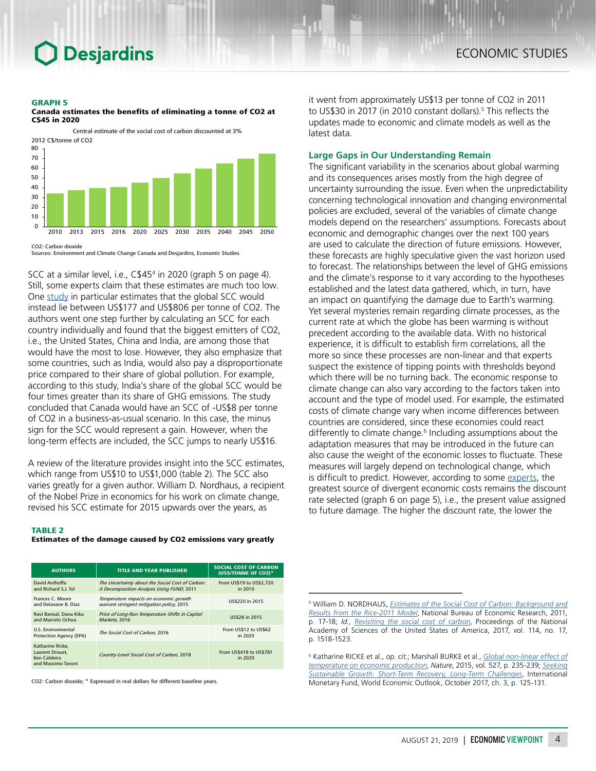## **Desjardins**

#### GRAPH 5



Canada estimates the benefits of eliminating a tonne of CO2 at C\$45 in 2020

Sources: Environment and Climate Change Canada and Desjardins, Economic Studies

SCC at a similar level, i.e., C\$454 in 2020 (graph 5 on page 4). Still, some experts claim that these estimates are much too low. One [study](https://www.researchgate.net/publication/327846446_Country-level_social_cost_of_carbon) in particular estimates that the global SCC would instead lie between US\$177 and US\$806 per tonne of CO2. The authors went one step further by calculating an SCC for each country individually and found that the biggest emitters of CO2, i.e., the United States, China and India, are among those that would have the most to lose. However, they also emphasize that some countries, such as India, would also pay a disproportionate price compared to their share of global pollution. For example, according to this study, India's share of the global SCC would be four times greater than its share of GHG emissions. The study concluded that Canada would have an SCC of -US\$8 per tonne of CO2 in a business-as-usual scenario. In this case, the minus sign for the SCC would represent a gain. However, when the long-term effects are included, the SCC jumps to nearly US\$16.

A review of the literature provides insight into the SCC estimates, which range from US\$10 to US\$1,000 (table 2). The SCC also varies greatly for a given author. William D. Nordhaus, a recipient of the Nobel Prize in economics for his work on climate change, revised his SCC estimate for 2015 upwards over the years, as

#### TABLE 2

### Estimates of the damage caused by CO2 emissions vary greatly

| <b>AUTHORS</b>                                                            | <b>TITLE AND YEAR PUBLISHED</b>                                                               | <b>SOCIAL COST OF CARBON</b><br>(US\$/TONNE OF CO2)* |
|---------------------------------------------------------------------------|-----------------------------------------------------------------------------------------------|------------------------------------------------------|
| David Anthoffa<br>and Richard S.J. Tol.                                   | The Uncertainty about the Social Cost of Carbon:<br>A Decomposition Analysis Using FUND, 2011 | From US\$19 to US\$2,720<br>in 2010                  |
| Frances C. Moore<br>and Delavane B. Diaz                                  | Temperature impacts on economic growth<br>warrant stringent mitigation policy, 2015           | US\$220 in 2015                                      |
| Ravi Bansal, Dana Kiku<br>and Marcelo Ochoa                               | Price of Long-Run Temperature Shifts in Capital<br>Markets, 2016                              | US\$28 in 2015                                       |
| <b>U.S. Environmental</b><br>Protection Agency (EPA)                      | The Social Cost of Carbon, 2016                                                               | From US\$12 to US\$62<br>in 2020                     |
| Katharine Ricke.<br>Laurent Drouet.<br>Ken Caldeira<br>and Massimo Tayoni | Country-Level Social Cost of Carbon, 2018                                                     | From US\$418 to US\$781<br>in 2020                   |

CO2: Carbon dioxide; \* Expressed in real dollars for different baseline years.

it went from approximately US\$13 per tonne of CO2 in 2011 to US\$30 in 2017 (in 2010 constant dollars).<sup>5</sup> This reflects the updates made to economic and climate models as well as the latest data.

## **Large Gaps in Our Understanding Remain**

The significant variability in the scenarios about global warming and its consequences arises mostly from the high degree of uncertainty surrounding the issue. Even when the unpredictability concerning technological innovation and changing environmental policies are excluded, several of the variables of climate change models depend on the researchers' assumptions. Forecasts about economic and demographic changes over the next 100 years are used to calculate the direction of future emissions. However, these forecasts are highly speculative given the vast horizon used to forecast. The relationships between the level of GHG emissions and the climate's response to it vary according to the hypotheses established and the latest data gathered, which, in turn, have an impact on quantifying the damage due to Earth's warming. Yet several mysteries remain regarding climate processes, as the current rate at which the globe has been warming is without precedent according to the available data. With no historical experience, it is difficult to establish firm correlations, all the more so since these processes are non-linear and that experts suspect the existence of tipping points with thresholds beyond which there will be no turning back. The economic response to climate change can also vary according to the factors taken into account and the type of model used. For example, the estimated costs of climate change vary when income differences between countries are considered, since these economies could react differently to climate change.<sup>6</sup> Including assumptions about the adaptation measures that may be introduced in the future can also cause the weight of the economic losses to fluctuate. These measures will largely depend on technological change, which is difficult to predict. However, according to some [experts](https://www.researchgate.net/publication/327846446_Country-level_social_cost_of_carbon), the greatest source of divergent economic costs remains the discount rate selected (graph 6 on page 5), i.e., the present value assigned to future damage. The higher the discount rate, the lower the

<sup>5</sup> William D. NORDHAUS, *[Estimates of the Social Cost of Carbon: Background and](https://www.nber.org/papers/w17540.pdf) [Results from the Rice-2011 Model](https://www.nber.org/papers/w17540.pdf)*, National Bureau of Economic Research, 2011, p. 17-18; *Id.*, *[Revisiting the social cost of carbon](https://www.pnas.org/content/114/7/1518)*, Proceedings of the National Academy of Sciences of the United States of America, 2017, vol. 114, no. 17, p. 1518-1523.

<sup>6</sup> Katharine RICKE et al., *op. cit.*; Marshall BURKE et al., *[Global non-linear effect of](https://www.nature.com/articles/nature15725) [temperature on economic production](https://www.nature.com/articles/nature15725)*, *Nature*, 2015, vol. 527, p. 235-239; *[Seeking](https://www.imf.org/en/Publications/WEO/Issues/2017/09/19/world-economic-outlook-october-2017) [Sustainable Growth: Short-Term Recovery, Long-Term Challenges](https://www.imf.org/en/Publications/WEO/Issues/2017/09/19/world-economic-outlook-october-2017)*, International Monetary Fund, World Economic Outlook, October 2017, ch. 3, p. 125-131.